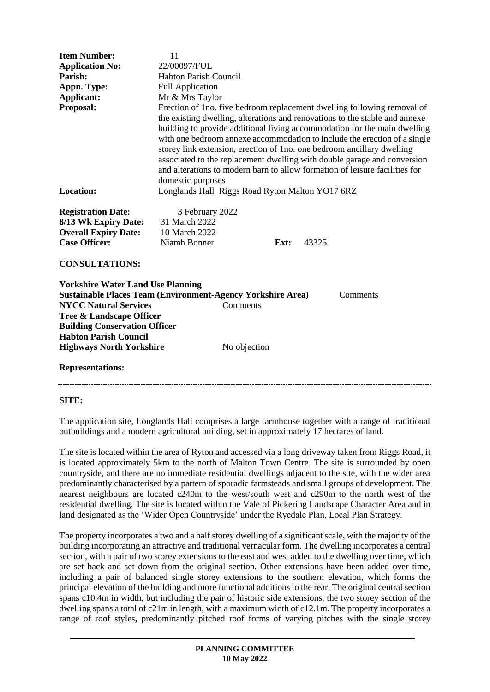| <b>Item Number:</b>                                                                                                                                                                                                                        | 11                                                                                                                                                                                                                                                                                                                                                                                                                                                                                                                                                                         |              |      |       |  |
|--------------------------------------------------------------------------------------------------------------------------------------------------------------------------------------------------------------------------------------------|----------------------------------------------------------------------------------------------------------------------------------------------------------------------------------------------------------------------------------------------------------------------------------------------------------------------------------------------------------------------------------------------------------------------------------------------------------------------------------------------------------------------------------------------------------------------------|--------------|------|-------|--|
| <b>Application No:</b>                                                                                                                                                                                                                     | 22/00097/FUL                                                                                                                                                                                                                                                                                                                                                                                                                                                                                                                                                               |              |      |       |  |
| Parish:                                                                                                                                                                                                                                    | <b>Habton Parish Council</b>                                                                                                                                                                                                                                                                                                                                                                                                                                                                                                                                               |              |      |       |  |
| Appn. Type:                                                                                                                                                                                                                                | <b>Full Application</b>                                                                                                                                                                                                                                                                                                                                                                                                                                                                                                                                                    |              |      |       |  |
| Applicant:                                                                                                                                                                                                                                 | Mr & Mrs Taylor                                                                                                                                                                                                                                                                                                                                                                                                                                                                                                                                                            |              |      |       |  |
| Proposal:                                                                                                                                                                                                                                  | Erection of 1no. five bedroom replacement dwelling following removal of<br>the existing dwelling, alterations and renovations to the stable and annexe<br>building to provide additional living accommodation for the main dwelling<br>with one bedroom annexe accommodation to include the erection of a single<br>storey link extension, erection of 1no. one bedroom ancillary dwelling<br>associated to the replacement dwelling with double garage and conversion<br>and alterations to modern barn to allow formation of leisure facilities for<br>domestic purposes |              |      |       |  |
| <b>Location:</b>                                                                                                                                                                                                                           | Longlands Hall Riggs Road Ryton Malton YO17 6RZ                                                                                                                                                                                                                                                                                                                                                                                                                                                                                                                            |              |      |       |  |
| <b>Registration Date:</b><br>8/13 Wk Expiry Date:<br><b>Overall Expiry Date:</b><br><b>Case Officer:</b>                                                                                                                                   | 3 February 2022<br>31 March 2022<br>10 March 2022<br>Niamh Bonner                                                                                                                                                                                                                                                                                                                                                                                                                                                                                                          |              | Ext: | 43325 |  |
| <b>CONSULTATIONS:</b>                                                                                                                                                                                                                      |                                                                                                                                                                                                                                                                                                                                                                                                                                                                                                                                                                            |              |      |       |  |
| <b>Yorkshire Water Land Use Planning</b><br><b>Sustainable Places Team (Environment-Agency Yorkshire Area)</b><br>Comments<br><b>NYCC Natural Services</b><br>Comments<br>Tree & Landscape Officer<br><b>Building Conservation Officer</b> |                                                                                                                                                                                                                                                                                                                                                                                                                                                                                                                                                                            |              |      |       |  |
| <b>Habton Parish Council</b><br><b>Highways North Yorkshire</b>                                                                                                                                                                            |                                                                                                                                                                                                                                                                                                                                                                                                                                                                                                                                                                            | No objection |      |       |  |
|                                                                                                                                                                                                                                            |                                                                                                                                                                                                                                                                                                                                                                                                                                                                                                                                                                            |              |      |       |  |
| <b>Representations:</b>                                                                                                                                                                                                                    |                                                                                                                                                                                                                                                                                                                                                                                                                                                                                                                                                                            |              |      |       |  |
|                                                                                                                                                                                                                                            |                                                                                                                                                                                                                                                                                                                                                                                                                                                                                                                                                                            |              |      |       |  |

#### **SITE:**

The application site, Longlands Hall comprises a large farmhouse together with a range of traditional outbuildings and a modern agricultural building, set in approximately 17 hectares of land.

The site is located within the area of Ryton and accessed via a long driveway taken from Riggs Road, it is located approximately 5km to the north of Malton Town Centre. The site is surrounded by open countryside, and there are no immediate residential dwellings adjacent to the site, with the wider area predominantly characterised by a pattern of sporadic farmsteads and small groups of development. The nearest neighbours are located c240m to the west/south west and c290m to the north west of the residential dwelling. The site is located within the Vale of Pickering Landscape Character Area and in land designated as the 'Wider Open Countryside' under the Ryedale Plan, Local Plan Strategy.

The property incorporates a two and a half storey dwelling of a significant scale, with the majority of the building incorporating an attractive and traditional vernacular form. The dwelling incorporates a central section, with a pair of two storey extensions to the east and west added to the dwelling over time, which are set back and set down from the original section. Other extensions have been added over time, including a pair of balanced single storey extensions to the southern elevation, which forms the principal elevation of the building and more functional additions to the rear. The original central section spans c10.4m in width, but including the pair of historic side extensions, the two storey section of the dwelling spans a total of c21m in length, with a maximum width of c12.1m. The property incorporates a range of roof styles, predominantly pitched roof forms of varying pitches with the single storey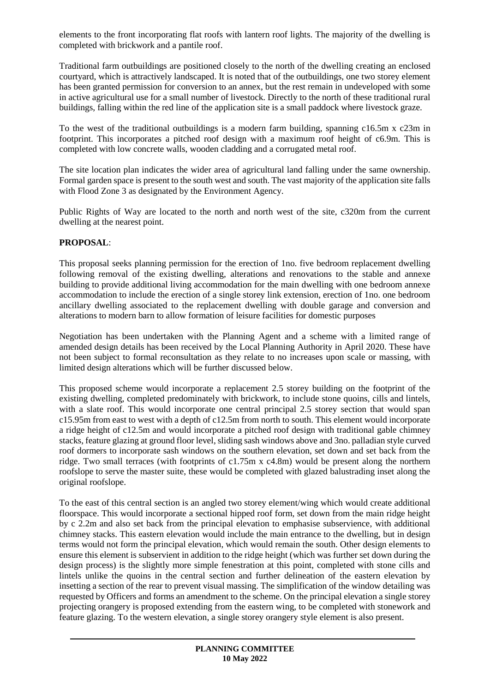elements to the front incorporating flat roofs with lantern roof lights. The majority of the dwelling is completed with brickwork and a pantile roof.

Traditional farm outbuildings are positioned closely to the north of the dwelling creating an enclosed courtyard, which is attractively landscaped. It is noted that of the outbuildings, one two storey element has been granted permission for conversion to an annex, but the rest remain in undeveloped with some in active agricultural use for a small number of livestock. Directly to the north of these traditional rural buildings, falling within the red line of the application site is a small paddock where livestock graze.

To the west of the traditional outbuildings is a modern farm building, spanning c16.5m x c23m in footprint. This incorporates a pitched roof design with a maximum roof height of c6.9m. This is completed with low concrete walls, wooden cladding and a corrugated metal roof.

The site location plan indicates the wider area of agricultural land falling under the same ownership. Formal garden space is present to the south west and south. The vast majority of the application site falls with Flood Zone 3 as designated by the Environment Agency.

Public Rights of Way are located to the north and north west of the site, c320m from the current dwelling at the nearest point.

#### **PROPOSAL**:

This proposal seeks planning permission for the erection of 1no. five bedroom replacement dwelling following removal of the existing dwelling, alterations and renovations to the stable and annexe building to provide additional living accommodation for the main dwelling with one bedroom annexe accommodation to include the erection of a single storey link extension, erection of 1no. one bedroom ancillary dwelling associated to the replacement dwelling with double garage and conversion and alterations to modern barn to allow formation of leisure facilities for domestic purposes

Negotiation has been undertaken with the Planning Agent and a scheme with a limited range of amended design details has been received by the Local Planning Authority in April 2020. These have not been subject to formal reconsultation as they relate to no increases upon scale or massing, with limited design alterations which will be further discussed below.

This proposed scheme would incorporate a replacement 2.5 storey building on the footprint of the existing dwelling, completed predominately with brickwork, to include stone quoins, cills and lintels, with a slate roof. This would incorporate one central principal 2.5 storey section that would span c15.95m from east to west with a depth of c12.5m from north to south. This element would incorporate a ridge height of c12.5m and would incorporate a pitched roof design with traditional gable chimney stacks, feature glazing at ground floor level, sliding sash windows above and 3no. palladian style curved roof dormers to incorporate sash windows on the southern elevation, set down and set back from the ridge. Two small terraces (with footprints of c1.75m x c4.8m) would be present along the northern roofslope to serve the master suite, these would be completed with glazed balustrading inset along the original roofslope.

To the east of this central section is an angled two storey element/wing which would create additional floorspace. This would incorporate a sectional hipped roof form, set down from the main ridge height by c 2.2m and also set back from the principal elevation to emphasise subservience, with additional chimney stacks. This eastern elevation would include the main entrance to the dwelling, but in design terms would not form the principal elevation, which would remain the south. Other design elements to ensure this element is subservient in addition to the ridge height (which was further set down during the design process) is the slightly more simple fenestration at this point, completed with stone cills and lintels unlike the quoins in the central section and further delineation of the eastern elevation by insetting a section of the rear to prevent visual massing. The simplification of the window detailing was requested by Officers and forms an amendment to the scheme. On the principal elevation a single storey projecting orangery is proposed extending from the eastern wing, to be completed with stonework and feature glazing. To the western elevation, a single storey orangery style element is also present.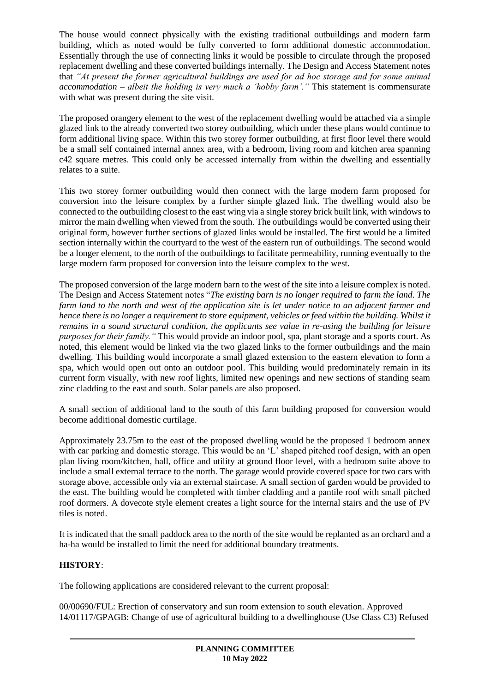The house would connect physically with the existing traditional outbuildings and modern farm building, which as noted would be fully converted to form additional domestic accommodation. Essentially through the use of connecting links it would be possible to circulate through the proposed replacement dwelling and these converted buildings internally. The Design and Access Statement notes that *"At present the former agricultural buildings are used for ad hoc storage and for some animal accommodation – albeit the holding is very much a 'hobby farm'."* This statement is commensurate with what was present during the site visit.

The proposed orangery element to the west of the replacement dwelling would be attached via a simple glazed link to the already converted two storey outbuilding, which under these plans would continue to form additional living space. Within this two storey former outbuilding, at first floor level there would be a small self contained internal annex area, with a bedroom, living room and kitchen area spanning c42 square metres. This could only be accessed internally from within the dwelling and essentially relates to a suite.

This two storey former outbuilding would then connect with the large modern farm proposed for conversion into the leisure complex by a further simple glazed link. The dwelling would also be connected to the outbuilding closest to the east wing via a single storey brick built link, with windows to mirror the main dwelling when viewed from the south. The outbuildings would be converted using their original form, however further sections of glazed links would be installed. The first would be a limited section internally within the courtyard to the west of the eastern run of outbuildings. The second would be a longer element, to the north of the outbuildings to facilitate permeability, running eventually to the large modern farm proposed for conversion into the leisure complex to the west.

The proposed conversion of the large modern barn to the west of the site into a leisure complex is noted. The Design and Access Statement notes "*The existing barn is no longer required to farm the land. The farm land to the north and west of the application site is let under notice to an adjacent farmer and hence there is no longer a requirement to store equipment, vehicles or feed within the building. Whilst it remains in a sound structural condition, the applicants see value in re-using the building for leisure purposes for their family."* This would provide an indoor pool, spa, plant storage and a sports court. As noted, this element would be linked via the two glazed links to the former outbuildings and the main dwelling. This building would incorporate a small glazed extension to the eastern elevation to form a spa, which would open out onto an outdoor pool. This building would predominately remain in its current form visually, with new roof lights, limited new openings and new sections of standing seam zinc cladding to the east and south. Solar panels are also proposed.

A small section of additional land to the south of this farm building proposed for conversion would become additional domestic curtilage.

Approximately 23.75m to the east of the proposed dwelling would be the proposed 1 bedroom annex with car parking and domestic storage. This would be an 'L' shaped pitched roof design, with an open plan living room/kitchen, hall, office and utility at ground floor level, with a bedroom suite above to include a small external terrace to the north. The garage would provide covered space for two cars with storage above, accessible only via an external staircase. A small section of garden would be provided to the east. The building would be completed with timber cladding and a pantile roof with small pitched roof dormers. A dovecote style element creates a light source for the internal stairs and the use of PV tiles is noted.

It is indicated that the small paddock area to the north of the site would be replanted as an orchard and a ha-ha would be installed to limit the need for additional boundary treatments.

# **HISTORY**:

The following applications are considered relevant to the current proposal:

00/00690/FUL: Erection of conservatory and sun room extension to south elevation. Approved 14/01117/GPAGB: Change of use of agricultural building to a dwellinghouse (Use Class C3) Refused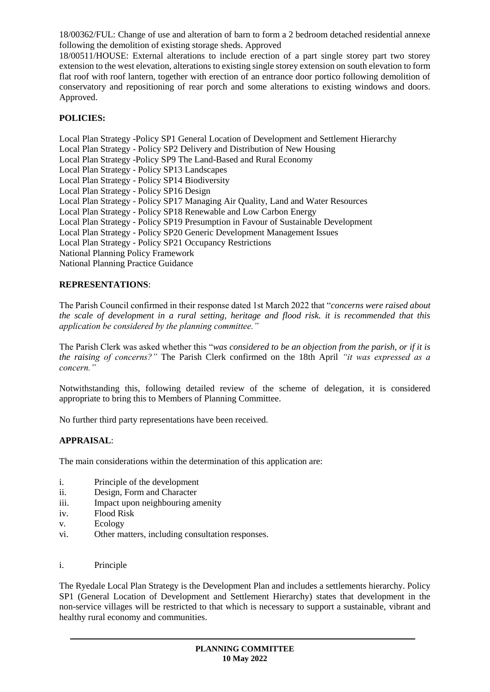18/00362/FUL: Change of use and alteration of barn to form a 2 bedroom detached residential annexe following the demolition of existing storage sheds. Approved

18/00511/HOUSE: External alterations to include erection of a part single storey part two storey extension to the west elevation, alterations to existing single storey extension on south elevation to form flat roof with roof lantern, together with erection of an entrance door portico following demolition of conservatory and repositioning of rear porch and some alterations to existing windows and doors. Approved.

## **POLICIES:**

Local Plan Strategy -Policy SP1 General Location of Development and Settlement Hierarchy Local Plan Strategy - Policy SP2 Delivery and Distribution of New Housing Local Plan Strategy -Policy SP9 The Land-Based and Rural Economy Local Plan Strategy - Policy SP13 Landscapes Local Plan Strategy - Policy SP14 Biodiversity Local Plan Strategy - Policy SP16 Design Local Plan Strategy - Policy SP17 Managing Air Quality, Land and Water Resources Local Plan Strategy - Policy SP18 Renewable and Low Carbon Energy Local Plan Strategy - Policy SP19 Presumption in Favour of Sustainable Development Local Plan Strategy - Policy SP20 Generic Development Management Issues Local Plan Strategy - Policy SP21 Occupancy Restrictions National Planning Policy Framework National Planning Practice Guidance

### **REPRESENTATIONS**:

The Parish Council confirmed in their response dated 1st March 2022 that "*concerns were raised about the scale of development in a rural setting, heritage and flood risk. it is recommended that this application be considered by the planning committee."*

The Parish Clerk was asked whether this "*was considered to be an objection from the parish, or if it is the raising of concerns?"* The Parish Clerk confirmed on the 18th April *"it was expressed as a concern."*

Notwithstanding this, following detailed review of the scheme of delegation, it is considered appropriate to bring this to Members of Planning Committee.

No further third party representations have been received.

#### **APPRAISAL**:

The main considerations within the determination of this application are:

- i. Principle of the development
- ii. Design, Form and Character
- iii. Impact upon neighbouring amenity
- iv. Flood Risk
- v. Ecology
- vi. Other matters, including consultation responses.
- i. Principle

The Ryedale Local Plan Strategy is the Development Plan and includes a settlements hierarchy. Policy SP1 (General Location of Development and Settlement Hierarchy) states that development in the non-service villages will be restricted to that which is necessary to support a sustainable, vibrant and healthy rural economy and communities.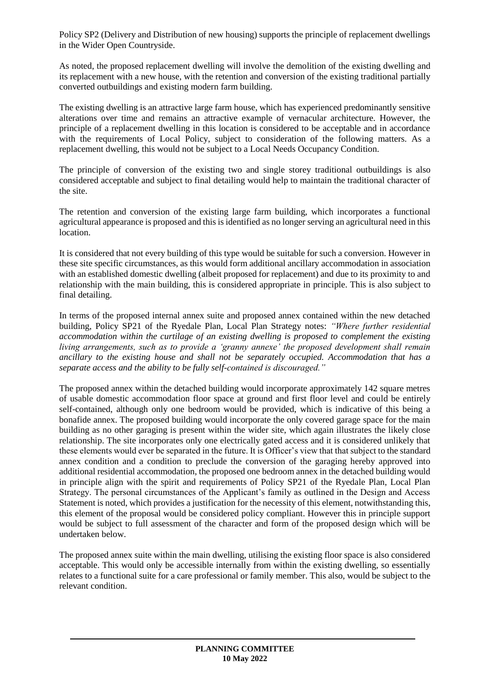Policy SP2 (Delivery and Distribution of new housing) supports the principle of replacement dwellings in the Wider Open Countryside.

As noted, the proposed replacement dwelling will involve the demolition of the existing dwelling and its replacement with a new house, with the retention and conversion of the existing traditional partially converted outbuildings and existing modern farm building.

The existing dwelling is an attractive large farm house, which has experienced predominantly sensitive alterations over time and remains an attractive example of vernacular architecture. However, the principle of a replacement dwelling in this location is considered to be acceptable and in accordance with the requirements of Local Policy, subject to consideration of the following matters. As a replacement dwelling, this would not be subject to a Local Needs Occupancy Condition.

The principle of conversion of the existing two and single storey traditional outbuildings is also considered acceptable and subject to final detailing would help to maintain the traditional character of the site.

The retention and conversion of the existing large farm building, which incorporates a functional agricultural appearance is proposed and this is identified as no longer serving an agricultural need in this location.

It is considered that not every building of this type would be suitable for such a conversion. However in these site specific circumstances, as this would form additional ancillary accommodation in association with an established domestic dwelling (albeit proposed for replacement) and due to its proximity to and relationship with the main building, this is considered appropriate in principle. This is also subject to final detailing.

In terms of the proposed internal annex suite and proposed annex contained within the new detached building, Policy SP21 of the Ryedale Plan, Local Plan Strategy notes: *"Where further residential accommodation within the curtilage of an existing dwelling is proposed to complement the existing living arrangements, such as to provide a 'granny annexe' the proposed development shall remain ancillary to the existing house and shall not be separately occupied. Accommodation that has a separate access and the ability to be fully self-contained is discouraged."*

The proposed annex within the detached building would incorporate approximately 142 square metres of usable domestic accommodation floor space at ground and first floor level and could be entirely self-contained, although only one bedroom would be provided, which is indicative of this being a bonafide annex. The proposed building would incorporate the only covered garage space for the main building as no other garaging is present within the wider site, which again illustrates the likely close relationship. The site incorporates only one electrically gated access and it is considered unlikely that these elements would ever be separated in the future. It is Officer's view that that subject to the standard annex condition and a condition to preclude the conversion of the garaging hereby approved into additional residential accommodation, the proposed one bedroom annex in the detached building would in principle align with the spirit and requirements of Policy SP21 of the Ryedale Plan, Local Plan Strategy. The personal circumstances of the Applicant's family as outlined in the Design and Access Statement is noted, which provides a justification for the necessity of this element, notwithstanding this, this element of the proposal would be considered policy compliant. However this in principle support would be subject to full assessment of the character and form of the proposed design which will be undertaken below.

The proposed annex suite within the main dwelling, utilising the existing floor space is also considered acceptable. This would only be accessible internally from within the existing dwelling, so essentially relates to a functional suite for a care professional or family member. This also, would be subject to the relevant condition.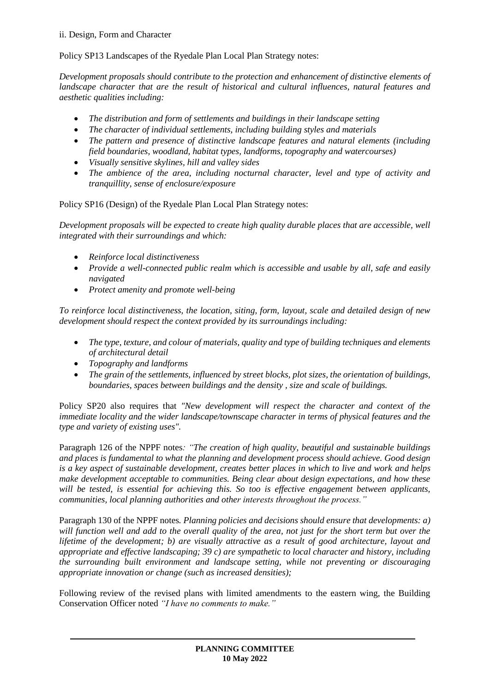#### ii. Design, Form and Character

Policy SP13 Landscapes of the Ryedale Plan Local Plan Strategy notes:

*Development proposals should contribute to the protection and enhancement of distinctive elements of landscape character that are the result of historical and cultural influences, natural features and aesthetic qualities including:*

- *The distribution and form of settlements and buildings in their landscape setting*
- *The character of individual settlements, including building styles and materials*
- *The pattern and presence of distinctive landscape features and natural elements (including field boundaries, woodland, habitat types, landforms, topography and watercourses)*
- *Visually sensitive skylines, hill and valley sides*
- *The ambience of the area, including nocturnal character, level and type of activity and tranquillity, sense of enclosure/exposure*

Policy SP16 (Design) of the Ryedale Plan Local Plan Strategy notes:

*Development proposals will be expected to create high quality durable places that are accessible, well integrated with their surroundings and which:* 

- *Reinforce local distinctiveness*
- *Provide a well-connected public realm which is accessible and usable by all, safe and easily navigated*
- *Protect amenity and promote well-being*

*To reinforce local distinctiveness, the location, siting, form, layout, scale and detailed design of new development should respect the context provided by its surroundings including:* 

- *The type, texture, and colour of materials, quality and type of building techniques and elements of architectural detail*
- *Topography and landforms*
- *The grain of the settlements, influenced by street blocks, plot sizes, the orientation of buildings, boundaries, spaces between buildings and the density , size and scale of buildings.*

Policy SP20 also requires that *"New development will respect the character and context of the immediate locality and the wider landscape/townscape character in terms of physical features and the type and variety of existing uses".*

Paragraph 126 of the NPPF notes*: "The creation of high quality, beautiful and sustainable buildings and places is fundamental to what the planning and development process should achieve. Good design is a key aspect of sustainable development, creates better places in which to live and work and helps make development acceptable to communities. Being clear about design expectations, and how these will be tested, is essential for achieving this. So too is effective engagement between applicants, communities, local planning authorities and other interests throughout the process."*

Paragraph 130 of the NPPF notes*. Planning policies and decisions should ensure that developments: a) will function well and add to the overall quality of the area, not just for the short term but over the lifetime of the development; b) are visually attractive as a result of good architecture, layout and appropriate and effective landscaping; 39 c) are sympathetic to local character and history, including the surrounding built environment and landscape setting, while not preventing or discouraging appropriate innovation or change (such as increased densities);*

Following review of the revised plans with limited amendments to the eastern wing, the Building Conservation Officer noted *"I have no comments to make."*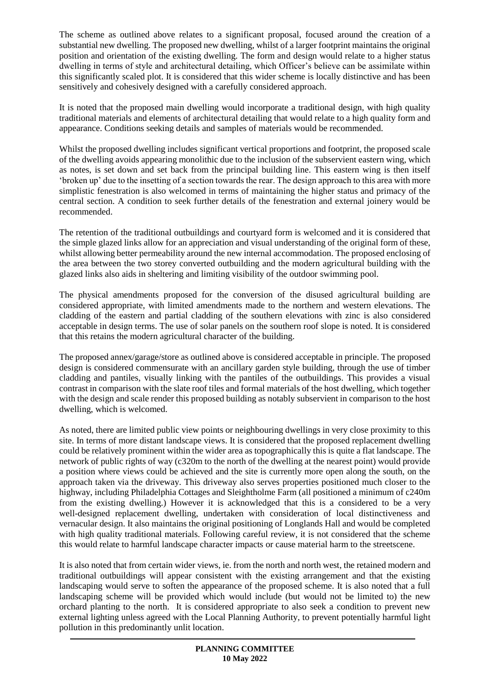The scheme as outlined above relates to a significant proposal, focused around the creation of a substantial new dwelling. The proposed new dwelling, whilst of a larger footprint maintains the original position and orientation of the existing dwelling. The form and design would relate to a higher status dwelling in terms of style and architectural detailing, which Officer's believe can be assimilate within this significantly scaled plot. It is considered that this wider scheme is locally distinctive and has been sensitively and cohesively designed with a carefully considered approach.

It is noted that the proposed main dwelling would incorporate a traditional design, with high quality traditional materials and elements of architectural detailing that would relate to a high quality form and appearance. Conditions seeking details and samples of materials would be recommended.

Whilst the proposed dwelling includes significant vertical proportions and footprint, the proposed scale of the dwelling avoids appearing monolithic due to the inclusion of the subservient eastern wing, which as notes, is set down and set back from the principal building line. This eastern wing is then itself 'broken up' due to the insetting of a section towards the rear. The design approach to this area with more simplistic fenestration is also welcomed in terms of maintaining the higher status and primacy of the central section. A condition to seek further details of the fenestration and external joinery would be recommended.

The retention of the traditional outbuildings and courtyard form is welcomed and it is considered that the simple glazed links allow for an appreciation and visual understanding of the original form of these, whilst allowing better permeability around the new internal accommodation. The proposed enclosing of the area between the two storey converted outbuilding and the modern agricultural building with the glazed links also aids in sheltering and limiting visibility of the outdoor swimming pool.

The physical amendments proposed for the conversion of the disused agricultural building are considered appropriate, with limited amendments made to the northern and western elevations. The cladding of the eastern and partial cladding of the southern elevations with zinc is also considered acceptable in design terms. The use of solar panels on the southern roof slope is noted. It is considered that this retains the modern agricultural character of the building.

The proposed annex/garage/store as outlined above is considered acceptable in principle. The proposed design is considered commensurate with an ancillary garden style building, through the use of timber cladding and pantiles, visually linking with the pantiles of the outbuildings. This provides a visual contrast in comparison with the slate roof tiles and formal materials of the host dwelling, which together with the design and scale render this proposed building as notably subservient in comparison to the host dwelling, which is welcomed.

As noted, there are limited public view points or neighbouring dwellings in very close proximity to this site. In terms of more distant landscape views. It is considered that the proposed replacement dwelling could be relatively prominent within the wider area as topographically this is quite a flat landscape. The network of public rights of way (c320m to the north of the dwelling at the nearest point) would provide a position where views could be achieved and the site is currently more open along the south, on the approach taken via the driveway. This driveway also serves properties positioned much closer to the highway, including Philadelphia Cottages and Sleightholme Farm (all positioned a minimum of c240m from the existing dwelling.) However it is acknowledged that this is a considered to be a very well-designed replacement dwelling, undertaken with consideration of local distinctiveness and vernacular design. It also maintains the original positioning of Longlands Hall and would be completed with high quality traditional materials. Following careful review, it is not considered that the scheme this would relate to harmful landscape character impacts or cause material harm to the streetscene.

It is also noted that from certain wider views, ie. from the north and north west, the retained modern and traditional outbuildings will appear consistent with the existing arrangement and that the existing landscaping would serve to soften the appearance of the proposed scheme. It is also noted that a full landscaping scheme will be provided which would include (but would not be limited to) the new orchard planting to the north. It is considered appropriate to also seek a condition to prevent new external lighting unless agreed with the Local Planning Authority, to prevent potentially harmful light pollution in this predominantly unlit location.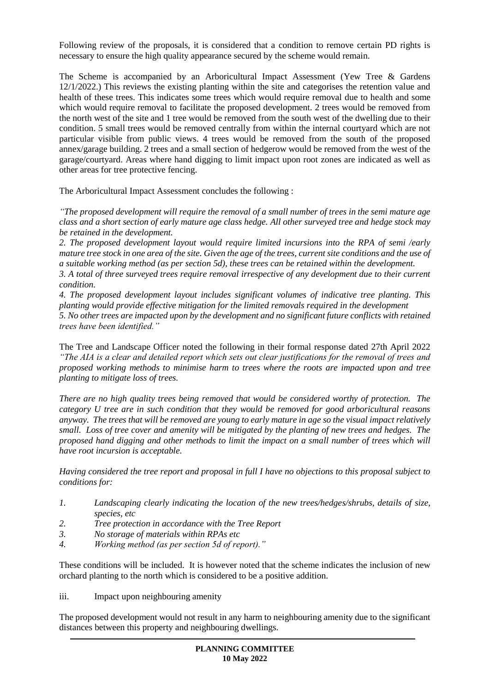Following review of the proposals, it is considered that a condition to remove certain PD rights is necessary to ensure the high quality appearance secured by the scheme would remain.

The Scheme is accompanied by an Arboricultural Impact Assessment (Yew Tree & Gardens 12/1/2022.) This reviews the existing planting within the site and categorises the retention value and health of these trees. This indicates some trees which would require removal due to health and some which would require removal to facilitate the proposed development. 2 trees would be removed from the north west of the site and 1 tree would be removed from the south west of the dwelling due to their condition. 5 small trees would be removed centrally from within the internal courtyard which are not particular visible from public views. 4 trees would be removed from the south of the proposed annex/garage building. 2 trees and a small section of hedgerow would be removed from the west of the garage/courtyard. Areas where hand digging to limit impact upon root zones are indicated as well as other areas for tree protective fencing.

The Arboricultural Impact Assessment concludes the following :

*"The proposed development will require the removal of a small number of trees in the semi mature age class and a short section of early mature age class hedge. All other surveyed tree and hedge stock may be retained in the development.*

*2. The proposed development layout would require limited incursions into the RPA of semi /early mature tree stock in one area of the site. Given the age of the trees, current site conditions and the use of a suitable working method (as per section 5d), these trees can be retained within the development. 3. A total of three surveyed trees require removal irrespective of any development due to their current condition.*

*4. The proposed development layout includes significant volumes of indicative tree planting. This planting would provide effective mitigation for the limited removals required in the development 5. No other trees are impacted upon by the development and no significant future conflicts with retained trees have been identified."*

The Tree and Landscape Officer noted the following in their formal response dated 27th April 2022 *"The AIA is a clear and detailed report which sets out clear justifications for the removal of trees and proposed working methods to minimise harm to trees where the roots are impacted upon and tree planting to mitigate loss of trees.* 

*There are no high quality trees being removed that would be considered worthy of protection. The category U tree are in such condition that they would be removed for good arboricultural reasons anyway. The trees that will be removed are young to early mature in age so the visual impact relatively small. Loss of tree cover and amenity will be mitigated by the planting of new trees and hedges. The proposed hand digging and other methods to limit the impact on a small number of trees which will have root incursion is acceptable.*

*Having considered the tree report and proposal in full I have no objections to this proposal subject to conditions for:*

- *1. Landscaping clearly indicating the location of the new trees/hedges/shrubs, details of size, species, etc*
- *2. Tree protection in accordance with the Tree Report*
- *3. No storage of materials within RPAs etc*
- *4. Working method (as per section 5d of report)."*

These conditions will be included. It is however noted that the scheme indicates the inclusion of new orchard planting to the north which is considered to be a positive addition.

iii. Impact upon neighbouring amenity

The proposed development would not result in any harm to neighbouring amenity due to the significant distances between this property and neighbouring dwellings.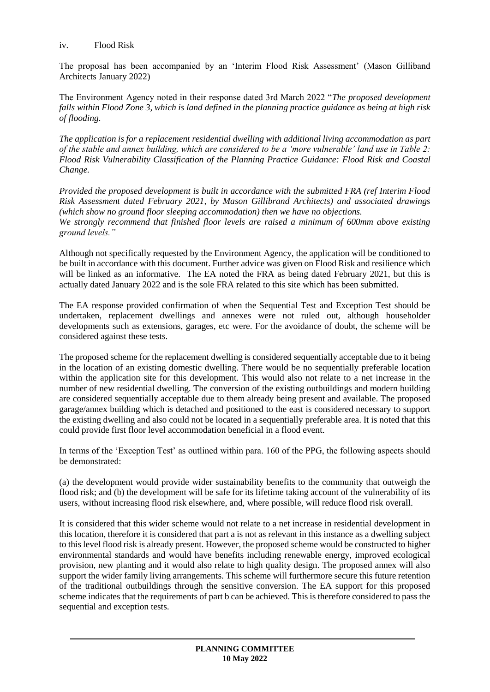#### iv. Flood Risk

The proposal has been accompanied by an 'Interim Flood Risk Assessment' (Mason Gilliband Architects January 2022)

The Environment Agency noted in their response dated 3rd March 2022 "*The proposed development falls within Flood Zone 3, which is land defined in the planning practice guidance as being at high risk of flooding.* 

*The application is for a replacement residential dwelling with additional living accommodation as part of the stable and annex building, which are considered to be a 'more vulnerable' land use in Table 2: Flood Risk Vulnerability Classification of the Planning Practice Guidance: Flood Risk and Coastal Change.* 

*Provided the proposed development is built in accordance with the submitted FRA (ref Interim Flood Risk Assessment dated February 2021, by Mason Gillibrand Architects) and associated drawings (which show no ground floor sleeping accommodation) then we have no objections. We strongly recommend that finished floor levels are raised a minimum of 600mm above existing ground levels."*

Although not specifically requested by the Environment Agency, the application will be conditioned to be built in accordance with this document. Further advice was given on Flood Risk and resilience which will be linked as an informative. The EA noted the FRA as being dated February 2021, but this is actually dated January 2022 and is the sole FRA related to this site which has been submitted.

The EA response provided confirmation of when the Sequential Test and Exception Test should be undertaken, replacement dwellings and annexes were not ruled out, although householder developments such as extensions, garages, etc were. For the avoidance of doubt, the scheme will be considered against these tests.

The proposed scheme for the replacement dwelling is considered sequentially acceptable due to it being in the location of an existing domestic dwelling. There would be no sequentially preferable location within the application site for this development. This would also not relate to a net increase in the number of new residential dwelling. The conversion of the existing outbuildings and modern building are considered sequentially acceptable due to them already being present and available. The proposed garage/annex building which is detached and positioned to the east is considered necessary to support the existing dwelling and also could not be located in a sequentially preferable area. It is noted that this could provide first floor level accommodation beneficial in a flood event.

In terms of the 'Exception Test' as outlined within para. 160 of the PPG, the following aspects should be demonstrated:

(a) the development would provide wider sustainability benefits to the community that outweigh the flood risk; and (b) the development will be safe for its lifetime taking account of the vulnerability of its users, without increasing flood risk elsewhere, and, where possible, will reduce flood risk overall.

It is considered that this wider scheme would not relate to a net increase in residential development in this location, therefore it is considered that part a is not as relevant in this instance as a dwelling subject to this level flood risk is already present. However, the proposed scheme would be constructed to higher environmental standards and would have benefits including renewable energy, improved ecological provision, new planting and it would also relate to high quality design. The proposed annex will also support the wider family living arrangements. This scheme will furthermore secure this future retention of the traditional outbuildings through the sensitive conversion. The EA support for this proposed scheme indicates that the requirements of part b can be achieved. This is therefore considered to pass the sequential and exception tests.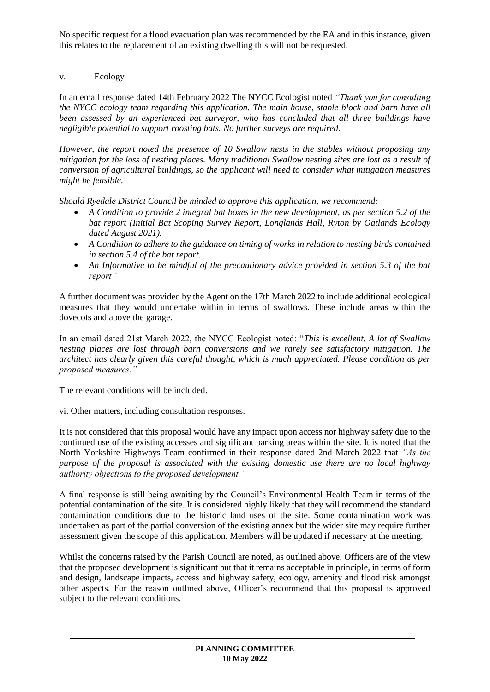No specific request for a flood evacuation plan was recommended by the EA and in this instance, given this relates to the replacement of an existing dwelling this will not be requested.

## v. Ecology

In an email response dated 14th February 2022 The NYCC Ecologist noted *"Thank you for consulting the NYCC ecology team regarding this application. The main house, stable block and barn have all been assessed by an experienced bat surveyor, who has concluded that all three buildings have negligible potential to support roosting bats. No further surveys are required.*

*However, the report noted the presence of 10 Swallow nests in the stables without proposing any mitigation for the loss of nesting places. Many traditional Swallow nesting sites are lost as a result of conversion of agricultural buildings, so the applicant will need to consider what mitigation measures might be feasible.*

*Should Ryedale District Council be minded to approve this application, we recommend:*

- *A Condition to provide 2 integral bat boxes in the new development, as per section 5.2 of the bat report (Initial Bat Scoping Survey Report, Longlands Hall, Ryton by Oatlands Ecology dated August 2021).*
- *A Condition to adhere to the guidance on timing of works in relation to nesting birds contained in section 5.4 of the bat report.*
- *An Informative to be mindful of the precautionary advice provided in section 5.3 of the bat report"*

A further document was provided by the Agent on the 17th March 2022 to include additional ecological measures that they would undertake within in terms of swallows. These include areas within the dovecots and above the garage.

In an email dated 21st March 2022, the NYCC Ecologist noted: "*This is excellent. A lot of Swallow nesting places are lost through barn conversions and we rarely see satisfactory mitigation. The architect has clearly given this careful thought, which is much appreciated. Please condition as per proposed measures."*

The relevant conditions will be included.

vi. Other matters, including consultation responses.

It is not considered that this proposal would have any impact upon access nor highway safety due to the continued use of the existing accesses and significant parking areas within the site. It is noted that the North Yorkshire Highways Team confirmed in their response dated 2nd March 2022 that *"As the purpose of the proposal is associated with the existing domestic use there are no local highway authority objections to the proposed development."*

A final response is still being awaiting by the Council's Environmental Health Team in terms of the potential contamination of the site. It is considered highly likely that they will recommend the standard contamination conditions due to the historic land uses of the site. Some contamination work was undertaken as part of the partial conversion of the existing annex but the wider site may require further assessment given the scope of this application. Members will be updated if necessary at the meeting.

Whilst the concerns raised by the Parish Council are noted, as outlined above, Officers are of the view that the proposed development is significant but that it remains acceptable in principle, in terms of form and design, landscape impacts, access and highway safety, ecology, amenity and flood risk amongst other aspects. For the reason outlined above, Officer's recommend that this proposal is approved subject to the relevant conditions.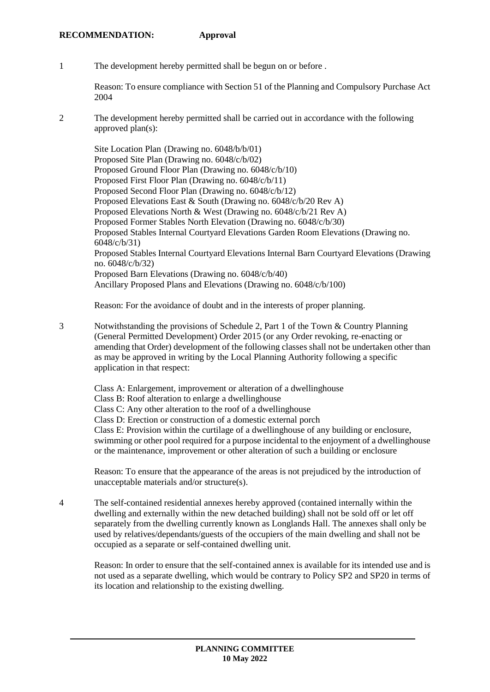1 The development hereby permitted shall be begun on or before .

Reason: To ensure compliance with Section 51 of the Planning and Compulsory Purchase Act 2004

2 The development hereby permitted shall be carried out in accordance with the following approved plan(s):

Site Location Plan (Drawing no. 6048/b/b/01) Proposed Site Plan (Drawing no. 6048/c/b/02) Proposed Ground Floor Plan (Drawing no. 6048/c/b/10) Proposed First Floor Plan (Drawing no. 6048/c/b/11) Proposed Second Floor Plan (Drawing no. 6048/c/b/12) Proposed Elevations East & South (Drawing no. 6048/c/b/20 Rev A) Proposed Elevations North & West (Drawing no. 6048/c/b/21 Rev A) Proposed Former Stables North Elevation (Drawing no. 6048/c/b/30) Proposed Stables Internal Courtyard Elevations Garden Room Elevations (Drawing no. 6048/c/b/31) Proposed Stables Internal Courtyard Elevations Internal Barn Courtyard Elevations (Drawing no. 6048/c/b/32) Proposed Barn Elevations (Drawing no. 6048/c/b/40) Ancillary Proposed Plans and Elevations (Drawing no. 6048/c/b/100)

Reason: For the avoidance of doubt and in the interests of proper planning.

3 Notwithstanding the provisions of Schedule 2, Part 1 of the Town & Country Planning (General Permitted Development) Order 2015 (or any Order revoking, re-enacting or amending that Order) development of the following classes shall not be undertaken other than as may be approved in writing by the Local Planning Authority following a specific application in that respect:

Class A: Enlargement, improvement or alteration of a dwellinghouse

Class B: Roof alteration to enlarge a dwellinghouse

Class C: Any other alteration to the roof of a dwellinghouse

Class D: Erection or construction of a domestic external porch

Class E: Provision within the curtilage of a dwellinghouse of any building or enclosure, swimming or other pool required for a purpose incidental to the enjoyment of a dwellinghouse or the maintenance, improvement or other alteration of such a building or enclosure

Reason: To ensure that the appearance of the areas is not prejudiced by the introduction of unacceptable materials and/or structure(s).

4 The self-contained residential annexes hereby approved (contained internally within the dwelling and externally within the new detached building) shall not be sold off or let off separately from the dwelling currently known as Longlands Hall. The annexes shall only be used by relatives/dependants/guests of the occupiers of the main dwelling and shall not be occupied as a separate or self-contained dwelling unit.

Reason: In order to ensure that the self-contained annex is available for its intended use and is not used as a separate dwelling, which would be contrary to Policy SP2 and SP20 in terms of its location and relationship to the existing dwelling.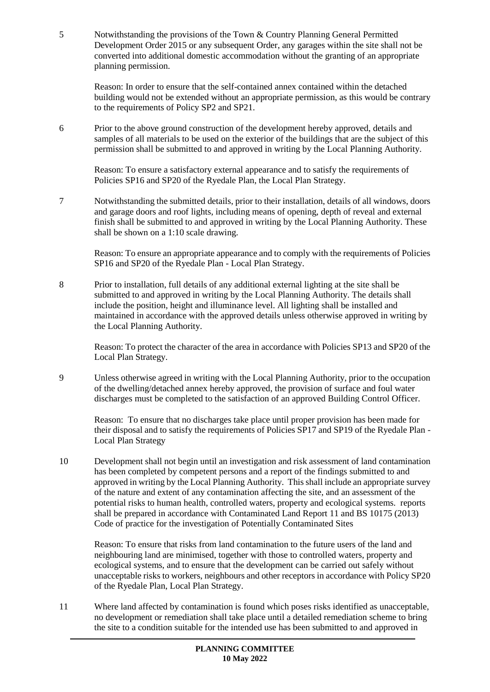5 Notwithstanding the provisions of the Town & Country Planning General Permitted Development Order 2015 or any subsequent Order, any garages within the site shall not be converted into additional domestic accommodation without the granting of an appropriate planning permission.

Reason: In order to ensure that the self-contained annex contained within the detached building would not be extended without an appropriate permission, as this would be contrary to the requirements of Policy SP2 and SP21.

6 Prior to the above ground construction of the development hereby approved, details and samples of all materials to be used on the exterior of the buildings that are the subject of this permission shall be submitted to and approved in writing by the Local Planning Authority.

Reason: To ensure a satisfactory external appearance and to satisfy the requirements of Policies SP16 and SP20 of the Ryedale Plan, the Local Plan Strategy.

7 Notwithstanding the submitted details, prior to their installation, details of all windows, doors and garage doors and roof lights, including means of opening, depth of reveal and external finish shall be submitted to and approved in writing by the Local Planning Authority. These shall be shown on a 1:10 scale drawing.

Reason: To ensure an appropriate appearance and to comply with the requirements of Policies SP16 and SP20 of the Ryedale Plan - Local Plan Strategy.

8 Prior to installation, full details of any additional external lighting at the site shall be submitted to and approved in writing by the Local Planning Authority. The details shall include the position, height and illuminance level. All lighting shall be installed and maintained in accordance with the approved details unless otherwise approved in writing by the Local Planning Authority.

Reason: To protect the character of the area in accordance with Policies SP13 and SP20 of the Local Plan Strategy.

9 Unless otherwise agreed in writing with the Local Planning Authority, prior to the occupation of the dwelling/detached annex hereby approved, the provision of surface and foul water discharges must be completed to the satisfaction of an approved Building Control Officer.

Reason: To ensure that no discharges take place until proper provision has been made for their disposal and to satisfy the requirements of Policies SP17 and SP19 of the Ryedale Plan - Local Plan Strategy

10 Development shall not begin until an investigation and risk assessment of land contamination has been completed by competent persons and a report of the findings submitted to and approved in writing by the Local Planning Authority. This shall include an appropriate survey of the nature and extent of any contamination affecting the site, and an assessment of the potential risks to human health, controlled waters, property and ecological systems. reports shall be prepared in accordance with Contaminated Land Report 11 and BS 10175 (2013) Code of practice for the investigation of Potentially Contaminated Sites

Reason: To ensure that risks from land contamination to the future users of the land and neighbouring land are minimised, together with those to controlled waters, property and ecological systems, and to ensure that the development can be carried out safely without unacceptable risks to workers, neighbours and other receptors in accordance with Policy SP20 of the Ryedale Plan, Local Plan Strategy.

11 Where land affected by contamination is found which poses risks identified as unacceptable, no development or remediation shall take place until a detailed remediation scheme to bring the site to a condition suitable for the intended use has been submitted to and approved in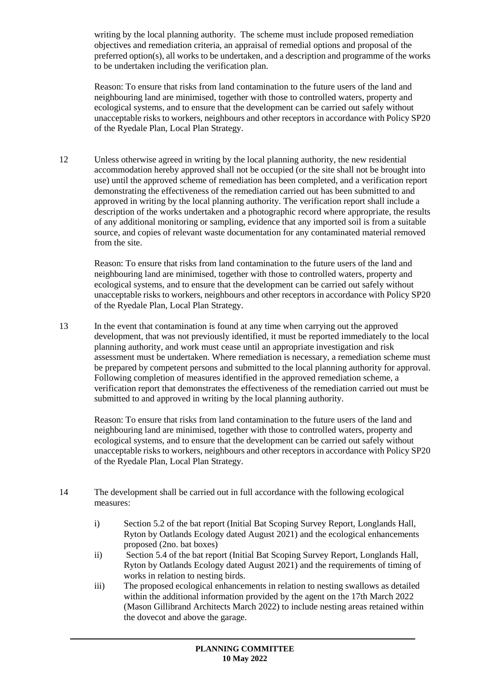writing by the local planning authority. The scheme must include proposed remediation objectives and remediation criteria, an appraisal of remedial options and proposal of the preferred option(s), all works to be undertaken, and a description and programme of the works to be undertaken including the verification plan.

Reason: To ensure that risks from land contamination to the future users of the land and neighbouring land are minimised, together with those to controlled waters, property and ecological systems, and to ensure that the development can be carried out safely without unacceptable risks to workers, neighbours and other receptors in accordance with Policy SP20 of the Ryedale Plan, Local Plan Strategy.

12 Unless otherwise agreed in writing by the local planning authority, the new residential accommodation hereby approved shall not be occupied (or the site shall not be brought into use) until the approved scheme of remediation has been completed, and a verification report demonstrating the effectiveness of the remediation carried out has been submitted to and approved in writing by the local planning authority. The verification report shall include a description of the works undertaken and a photographic record where appropriate, the results of any additional monitoring or sampling, evidence that any imported soil is from a suitable source, and copies of relevant waste documentation for any contaminated material removed from the site.

Reason: To ensure that risks from land contamination to the future users of the land and neighbouring land are minimised, together with those to controlled waters, property and ecological systems, and to ensure that the development can be carried out safely without unacceptable risks to workers, neighbours and other receptors in accordance with Policy SP20 of the Ryedale Plan, Local Plan Strategy.

13 In the event that contamination is found at any time when carrying out the approved development, that was not previously identified, it must be reported immediately to the local planning authority, and work must cease until an appropriate investigation and risk assessment must be undertaken. Where remediation is necessary, a remediation scheme must be prepared by competent persons and submitted to the local planning authority for approval. Following completion of measures identified in the approved remediation scheme, a verification report that demonstrates the effectiveness of the remediation carried out must be submitted to and approved in writing by the local planning authority.

Reason: To ensure that risks from land contamination to the future users of the land and neighbouring land are minimised, together with those to controlled waters, property and ecological systems, and to ensure that the development can be carried out safely without unacceptable risks to workers, neighbours and other receptors in accordance with Policy SP20 of the Ryedale Plan, Local Plan Strategy.

- 14 The development shall be carried out in full accordance with the following ecological measures:
	- i) Section 5.2 of the bat report (Initial Bat Scoping Survey Report, Longlands Hall, Ryton by Oatlands Ecology dated August 2021) and the ecological enhancements proposed (2no. bat boxes)
	- ii) Section 5.4 of the bat report (Initial Bat Scoping Survey Report, Longlands Hall, Ryton by Oatlands Ecology dated August 2021) and the requirements of timing of works in relation to nesting birds.
	- iii) The proposed ecological enhancements in relation to nesting swallows as detailed within the additional information provided by the agent on the 17th March 2022 (Mason Gillibrand Architects March 2022) to include nesting areas retained within the dovecot and above the garage.